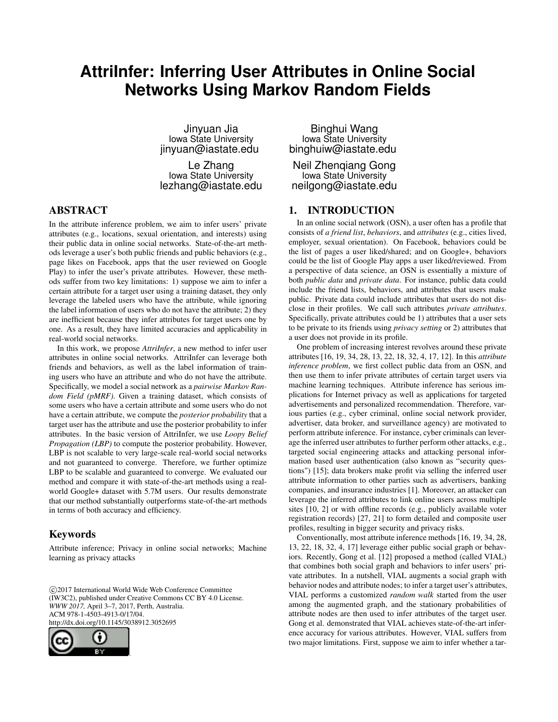# **AttriInfer: Inferring User Attributes in Online Social Networks Using Markov Random Fields**

Jinyuan Jia Iowa State University jinyuan@iastate.edu

Le Zhang Iowa State University lezhang@iastate.edu

# ABSTRACT

In the attribute inference problem, we aim to infer users' private attributes (e.g., locations, sexual orientation, and interests) using their public data in online social networks. State-of-the-art methods leverage a user's both public friends and public behaviors (e.g., page likes on Facebook, apps that the user reviewed on Google Play) to infer the user's private attributes. However, these methods suffer from two key limitations: 1) suppose we aim to infer a certain attribute for a target user using a training dataset, they only leverage the labeled users who have the attribute, while ignoring the label information of users who do not have the attribute; 2) they are inefficient because they infer attributes for target users one by one. As a result, they have limited accuracies and applicability in real-world social networks.

In this work, we propose *AttriInfer*, a new method to infer user attributes in online social networks. AttriInfer can leverage both friends and behaviors, as well as the label information of training users who have an attribute and who do not have the attribute. Specifically, we model a social network as a *pairwise Markov Random Field (pMRF)*. Given a training dataset, which consists of some users who have a certain attribute and some users who do not have a certain attribute, we compute the *posterior probability* that a target user has the attribute and use the posterior probability to infer attributes. In the basic version of AttriInfer, we use *Loopy Belief Propagation (LBP)* to compute the posterior probability. However, LBP is not scalable to very large-scale real-world social networks and not guaranteed to converge. Therefore, we further optimize LBP to be scalable and guaranteed to converge. We evaluated our method and compare it with state-of-the-art methods using a realworld Google+ dataset with 5.7M users. Our results demonstrate that our method substantially outperforms state-of-the-art methods in terms of both accuracy and efficiency.

## Keywords

Attribute inference; Privacy in online social networks; Machine learning as privacy attacks

 c 2017 International World Wide Web Conference Committee (IW3C2), published under Creative Commons CC BY 4.0 License. *WWW 2017,* April 3–7, 2017, Perth, Australia. ACM 978-1-4503-4913-0/17/04. http://dx.doi.org/10.1145/3038912.3052695



Binghui Wang Iowa State University binghuiw@iastate.edu

Neil Zhenqiang Gong Iowa State University neilgong@iastate.edu

# 1. INTRODUCTION

In an online social network (OSN), a user often has a profile that consists of *a friend list*, *behaviors*, and *attributes* (e.g., cities lived, employer, sexual orientation). On Facebook, behaviors could be the list of pages a user liked/shared; and on Google+, behaviors could be the list of Google Play apps a user liked/reviewed. From a perspective of data science, an OSN is essentially a mixture of both *public data* and *private data*. For instance, public data could include the friend lists, behaviors, and attributes that users make public. Private data could include attributes that users do not disclose in their profiles. We call such attributes *private attributes*. Specifically, private attributes could be 1) attributes that a user sets to be private to its friends using *privacy setting* or 2) attributes that a user does not provide in its profile.

One problem of increasing interest revolves around these private attributes [16, 19, 34, 28, 13, 22, 18, 32, 4, 17, 12]. In this *attribute inference problem*, we first collect public data from an OSN, and then use them to infer private attributes of certain target users via machine learning techniques. Attribute inference has serious implications for Internet privacy as well as applications for targeted advertisements and personalized recommendation. Therefore, various parties (e.g., cyber criminal, online social network provider, advertiser, data broker, and surveillance agency) are motivated to perform attribute inference. For instance, cyber criminals can leverage the inferred user attributes to further perform other attacks, e.g., targeted social engineering attacks and attacking personal information based user authentication (also known as "security questions") [15]; data brokers make profit via selling the inferred user attribute information to other parties such as advertisers, banking companies, and insurance industries [1]. Moreover, an attacker can leverage the inferred attributes to link online users across multiple sites [10, 2] or with offline records (e.g., publicly available voter registration records) [27, 21] to form detailed and composite user profiles, resulting in bigger security and privacy risks.

Conventionally, most attribute inference methods [16, 19, 34, 28, 13, 22, 18, 32, 4, 17] leverage either public social graph or behaviors. Recently, Gong et al. [12] proposed a method (called VIAL) that combines both social graph and behaviors to infer users' private attributes. In a nutshell, VIAL augments a social graph with behavior nodes and attribute nodes; to infer a target user's attributes, VIAL performs a customized *random walk* started from the user among the augmented graph, and the stationary probabilities of attribute nodes are then used to infer attributes of the target user. Gong et al. demonstrated that VIAL achieves state-of-the-art inference accuracy for various attributes. However, VIAL suffers from two major limitations. First, suppose we aim to infer whether a tar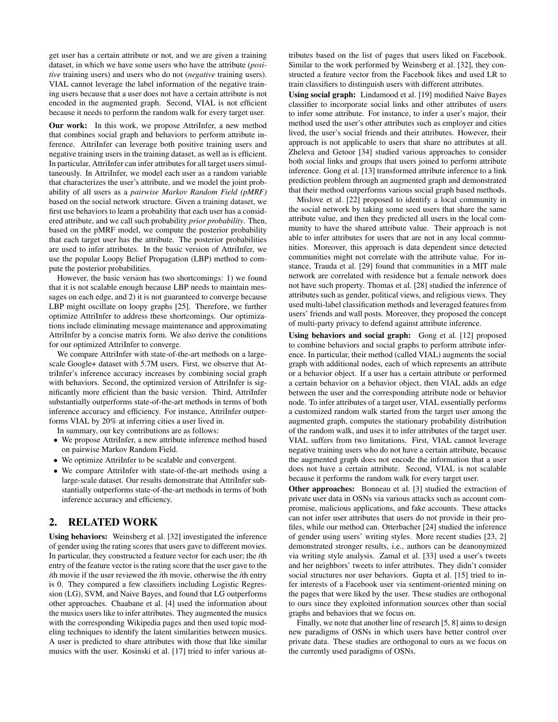get user has a certain attribute or not, and we are given a training dataset, in which we have some users who have the attribute (*positive* training users) and users who do not (*negative* training users). VIAL cannot leverage the label information of the negative training users because that a user does not have a certain attribute is not encoded in the augmented graph. Second, VIAL is not efficient because it needs to perform the random walk for every target user.

Our work: In this work, we propose AttriInfer, a new method that combines social graph and behaviors to perform attribute inference. AttriInfer can leverage both positive training users and negative training users in the training dataset, as well as is efficient. In particular, AttriInfer can infer attributes for all target users simultaneously. In AttriInfer, we model each user as a random variable that characterizes the user's attribute, and we model the joint probability of all users as a *pairwise Markov Random Field (pMRF)* based on the social network structure. Given a training dataset, we first use behaviors to learn a probability that each user has a considered attribute, and we call such probability *prior probability*. Then, based on the pMRF model, we compute the posterior probability that each target user has the attribute. The posterior probabilities are used to infer attributes. In the basic version of AttriInfer, we use the popular Loopy Belief Propagation (LBP) method to compute the posterior probabilities.

However, the basic version has two shortcomings: 1) we found that it is not scalable enough because LBP needs to maintain messages on each edge, and 2) it is not guaranteed to converge because LBP might oscillate on loopy graphs [25]. Therefore, we further optimize AttriInfer to address these shortcomings. Our optimizations include eliminating message maintenance and approximating AttriInfer by a concise matrix form. We also derive the conditions for our optimized AttriInfer to converge.

We compare AttriInfer with state-of-the-art methods on a largescale Google+ dataset with 5.7M users. First, we observe that AttriInfer's inference accuracy increases by combining social graph with behaviors. Second, the optimized version of AttriInfer is significantly more efficient than the basic version. Third, AttriInfer substantially outperforms state-of-the-art methods in terms of both inference accuracy and efficiency. For instance, AttriInfer outperforms VIAL by 20% at inferring cities a user lived in.

In summary, our key contributions are as follows:

- We propose AttriInfer, a new attribute inference method based on pairwise Markov Random Field.
- We optimize AttriInfer to be scalable and convergent.
- We compare AttriInfer with state-of-the-art methods using a large-scale dataset. Our results demonstrate that AttriInfer substantially outperforms state-of-the-art methods in terms of both inference accuracy and efficiency.

## 2. RELATED WORK

Using behaviors: Weinsberg et al. [32] investigated the inference of gender using the rating scores that users gave to different movies. In particular, they constructed a feature vector for each user; the *i*th entry of the feature vector is the rating score that the user gave to the *i*th movie if the user reviewed the *i*th movie, otherwise the *i*th entry is 0. They compared a few classifiers including Logistic Regression (LG), SVM, and Naive Bayes, and found that LG outperforms other approaches. Chaabane et al. [4] used the information about the musics users like to infer attributes. They augmented the musics with the corresponding Wikipedia pages and then used topic modeling techniques to identify the latent similarities between musics. A user is predicted to share attributes with those that like similar musics with the user. Kosinski et al. [17] tried to infer various attributes based on the list of pages that users liked on Facebook. Similar to the work performed by Weinsberg et al. [32], they constructed a feature vector from the Facebook likes and used LR to train classifiers to distinguish users with different attributes.

Using social graph: Lindamood et al. [19] modified Naive Bayes classifier to incorporate social links and other attributes of users to infer some attribute. For instance, to infer a user's major, their method used the user's other attributes such as employer and cities lived, the user's social friends and their attributes. However, their approach is not applicable to users that share no attributes at all. Zheleva and Getoor [34] studied various approaches to consider both social links and groups that users joined to perform attribute inference. Gong et al. [13] transformed attribute inference to a link prediction problem through an augmented graph and demonstrated that their method outperforms various social graph based methods.

Mislove et al. [22] proposed to identify a local community in the social network by taking some seed users that share the same attribute value, and then they predicted all users in the local community to have the shared attribute value. Their approach is not able to infer attributes for users that are not in any local communities. Moreover, this approach is data dependent since detected communities might not correlate with the attribute value. For instance, Trauda et al. [29] found that communities in a MIT male network are correlated with residence but a female network does not have such property. Thomas et al. [28] studied the inference of attributes such as gender, political views, and religious views. They used multi-label classification methods and leveraged features from users' friends and wall posts. Moreover, they proposed the concept of multi-party privacy to defend against attribute inference.

Using behaviors and social graph: Gong et al. [12] proposed to combine behaviors and social graphs to perform attribute inference. In particular, their method (called VIAL) augments the social graph with additional nodes, each of which represents an attribute or a behavior object. If a user has a certain attribute or performed a certain behavior on a behavior object, then VIAL adds an edge between the user and the corresponding attribute node or behavior node. To infer attributes of a target user, VIAL essentially performs a customized random walk started from the target user among the augmented graph, computes the stationary probability distribution of the random walk, and uses it to infer attributes of the target user. VIAL suffers from two limitations. First, VIAL cannot leverage negative training users who do not have a certain attribute, because the augmented graph does not encode the information that a user does not have a certain attribute. Second, VIAL is not scalable because it performs the random walk for every target user.

Other approaches: Bonneau et al. [3] studied the extraction of private user data in OSNs via various attacks such as account compromise, malicious applications, and fake accounts. These attacks can not infer user attributes that users do not provide in their profiles, while our method can. Otterbacher [24] studied the inference of gender using users' writing styles. More recent studies [23, 2] demonstrated stronger results, i.e., authors can be deanonymized via writing style analysis. Zamal et al. [33] used a user's tweets and her neighbors' tweets to infer attributes. They didn't consider social structures nor user behaviors. Gupta et al. [15] tried to infer interests of a Facebook user via sentiment-oriented mining on the pages that were liked by the user. These studies are orthogonal to ours since they exploited information sources other than social graphs and behaviors that we focus on.

Finally, we note that another line of research [5, 8] aims to design new paradigms of OSNs in which users have better control over private data. These studies are orthogonal to ours as we focus on the currently used paradigms of OSNs.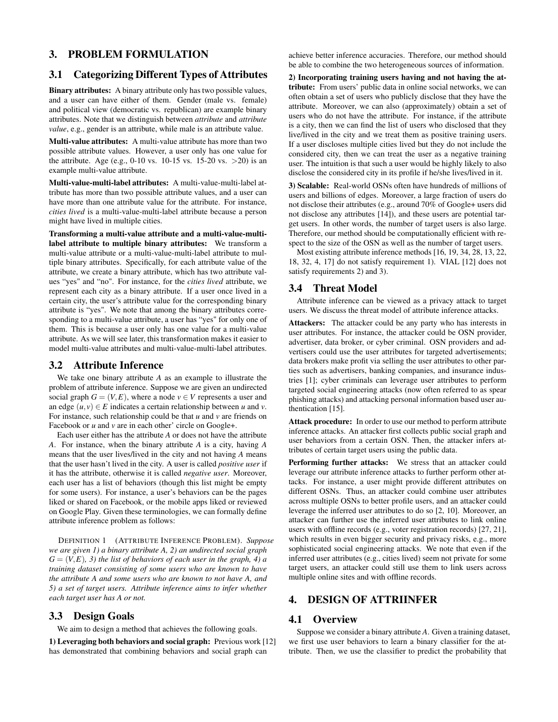## 3. PROBLEM FORMULATION

# 3.1 Categorizing Different Types of Attributes

Binary attributes: A binary attribute only has two possible values, and a user can have either of them. Gender (male vs. female) and political view (democratic vs. republican) are example binary attributes. Note that we distinguish between *attribute* and *attribute value*, e.g., gender is an attribute, while male is an attribute value.

Multi-value attributes: A multi-value attribute has more than two possible attribute values. However, a user only has one value for the attribute. Age (e.g., 0-10 vs. 10-15 vs. 15-20 vs.  $>20$ ) is an example multi-value attribute.

Multi-value-multi-label attributes: A multi-value-multi-label attribute has more than two possible attribute values, and a user can have more than one attribute value for the attribute. For instance, *cities lived* is a multi-value-multi-label attribute because a person might have lived in multiple cities.

Transforming a multi-value attribute and a multi-value-multilabel attribute to multiple binary attributes: We transform a multi-value attribute or a multi-value-multi-label attribute to multiple binary attributes. Specifically, for each attribute value of the attribute, we create a binary attribute, which has two attribute values "yes" and "no". For instance, for the *cities lived* attribute, we represent each city as a binary attribute. If a user once lived in a certain city, the user's attribute value for the corresponding binary attribute is "yes". We note that among the binary attributes corresponding to a multi-value attribute, a user has "yes" for only one of them. This is because a user only has one value for a multi-value attribute. As we will see later, this transformation makes it easier to model multi-value attributes and multi-value-multi-label attributes.

## 3.2 Attribute Inference

We take one binary attribute *A* as an example to illustrate the problem of attribute inference. Suppose we are given an undirected social graph  $G = (V, E)$ , where a node  $v \in V$  represents a user and an edge  $(u, v) \in E$  indicates a certain relationship between *u* and *v*. For instance, such relationship could be that *u* and *v* are friends on Facebook or *u* and *v* are in each other' circle on Google+.

Each user either has the attribute *A* or does not have the attribute *A*. For instance, when the binary attribute *A* is a city, having *A* means that the user lives/lived in the city and not having *A* means that the user hasn't lived in the city. A user is called *positive user* if it has the attribute, otherwise it is called *negative user*. Moreover, each user has a list of behaviors (though this list might be empty for some users). For instance, a user's behaviors can be the pages liked or shared on Facebook, or the mobile apps liked or reviewed on Google Play. Given these terminologies, we can formally define attribute inference problem as follows:

DEFINITION 1 (ATTRIBUTE INFERENCE PROBLEM). *Suppose we are given 1) a binary attribute A, 2) an undirected social graph*  $G = (V, E)$ , 3) the list of behaviors of each user in the graph, 4) a *training dataset consisting of some users who are known to have the attribute A and some users who are known to not have A, and 5) a set of target users. Attribute inference aims to infer whether each target user has A or not.*

## 3.3 Design Goals

We aim to design a method that achieves the following goals.

1) Leveraging both behaviors and social graph: Previous work [12] has demonstrated that combining behaviors and social graph can

achieve better inference accuracies. Therefore, our method should be able to combine the two heterogeneous sources of information.

2) Incorporating training users having and not having the attribute: From users' public data in online social networks, we can often obtain a set of users who publicly disclose that they have the attribute. Moreover, we can also (approximately) obtain a set of users who do not have the attribute. For instance, if the attribute is a city, then we can find the list of users who disclosed that they live/lived in the city and we treat them as positive training users. If a user discloses multiple cities lived but they do not include the considered city, then we can treat the user as a negative training user. The intuition is that such a user would be highly likely to also disclose the considered city in its profile if he/she lives/lived in it.

3) Scalable: Real-world OSNs often have hundreds of millions of users and billions of edges. Moreover, a large fraction of users do not disclose their attributes (e.g., around 70% of Google+ users did not disclose any attributes [14]), and these users are potential target users. In other words, the number of target users is also large. Therefore, our method should be computationally efficient with respect to the size of the OSN as well as the number of target users.

Most existing attribute inference methods [16, 19, 34, 28, 13, 22, 18, 32, 4, 17] do not satisfy requirement 1). VIAL [12] does not satisfy requirements 2) and 3).

#### 3.4 Threat Model

Attribute inference can be viewed as a privacy attack to target users. We discuss the threat model of attribute inference attacks.

Attackers: The attacker could be any party who has interests in user attributes. For instance, the attacker could be OSN provider, advertiser, data broker, or cyber criminal. OSN providers and advertisers could use the user attributes for targeted advertisements; data brokers make profit via selling the user attributes to other parties such as advertisers, banking companies, and insurance industries [1]; cyber criminals can leverage user attributes to perform targeted social engineering attacks (now often referred to as spear phishing attacks) and attacking personal information based user authentication [15].

Attack procedure: In order to use our method to perform attribute inference attacks. An attacker first collects public social graph and user behaviors from a certain OSN. Then, the attacker infers attributes of certain target users using the public data.

Performing further attacks: We stress that an attacker could leverage our attribute inference attacks to further perform other attacks. For instance, a user might provide different attributes on different OSNs. Thus, an attacker could combine user attributes across multiple OSNs to better profile users, and an attacker could leverage the inferred user attributes to do so [2, 10]. Moreover, an attacker can further use the inferred user attributes to link online users with offline records (e.g., voter registration records) [27, 21], which results in even bigger security and privacy risks, e.g., more sophisticated social engineering attacks. We note that even if the inferred user attributes (e.g., cities lived) seem not private for some target users, an attacker could still use them to link users across multiple online sites and with offline records.

# 4. DESIGN OF ATTRIINFER

## 4.1 Overview

Suppose we consider a binary attribute *A*. Given a training dataset, we first use user behaviors to learn a binary classifier for the attribute. Then, we use the classifier to predict the probability that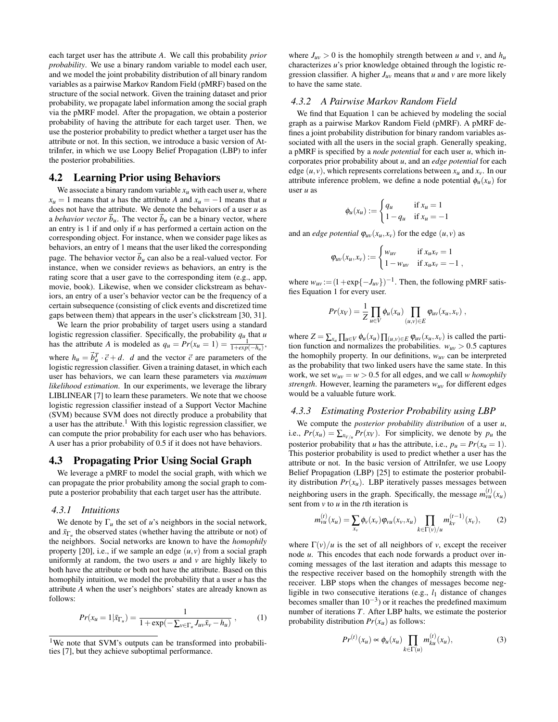each target user has the attribute *A*. We call this probability *prior probability*. We use a binary random variable to model each user, and we model the joint probability distribution of all binary random variables as a pairwise Markov Random Field (pMRF) based on the structure of the social network. Given the training dataset and prior probability, we propagate label information among the social graph via the pMRF model. After the propagation, we obtain a posterior probability of having the attribute for each target user. Then, we use the posterior probability to predict whether a target user has the attribute or not. In this section, we introduce a basic version of AttriInfer, in which we use Loopy Belief Propagation (LBP) to infer the posterior probabilities.

#### 4.2 Learning Prior using Behaviors

We associate a binary random variable  $x_u$  with each user  $u$ , where  $x_u = 1$  means that *u* has the attribute *A* and  $x_u = -1$  means that *u* does not have the attribute. We denote the behaviors of a user *u* as a *behavior vector*  $\dot{b}_u$ . The vector  $\dot{b}_u$  can be a binary vector, where an entry is 1 if and only if *u* has performed a certain action on the corresponding object. For instance, when we consider page likes as behaviors, an entry of 1 means that the user liked the corresponding page. The behavior vector  $\vec{b}_u$  can also be a real-valued vector. For instance, when we consider reviews as behaviors, an entry is the rating score that a user gave to the corresponding item (e.g., app, movie, book). Likewise, when we consider clickstream as behaviors, an entry of a user's behavior vector can be the frequency of a certain subsequence (consisting of click events and discretized time gaps between them) that appears in the user's clickstream [30, 31].

We learn the prior probability of target users using a standard logistic regression classifier. Specifically, the probability  $q_u$  that  $u$ has the attribute *A* is modeled as  $q_u = Pr(x_u = 1) = \frac{1}{1 + exp(-h_u)}$ , where  $h_u = \vec{b}_u^T \cdot \vec{c} + d$ . *d* and the vector  $\vec{c}$  are parameters of the logistic regression classifier. Given a training dataset, in which each user has behaviors, we can learn these parameters via *maximum likelihood estimation*. In our experiments, we leverage the library LIBLINEAR [7] to learn these parameters. We note that we choose logistic regression classifier instead of a Support Vector Machine (SVM) because SVM does not directly produce a probability that a user has the attribute.<sup>1</sup> With this logistic regression classifier, we can compute the prior probability for each user who has behaviors. A user has a prior probability of 0.5 if it does not have behaviors.

## 4.3 Propagating Prior Using Social Graph

We leverage a pMRF to model the social graph, with which we can propagate the prior probability among the social graph to compute a posterior probability that each target user has the attribute.

#### *4.3.1 Intuitions*

We denote by  $\Gamma_u$  the set of *u*'s neighbors in the social network, and  $\bar{x}_{\Gamma_u}$  the observed states (whether having the attribute or not) of the neighbors. Social networks are known to have the *homophily* property [20], i.e., if we sample an edge  $(u, v)$  from a social graph uniformly at random, the two users  $u$  and  $v$  are highly likely to both have the attribute or both not have the attribute. Based on this homophily intuition, we model the probability that a user *u* has the attribute *A* when the user's neighbors' states are already known as follows:

$$
Pr(x_u = 1 | \bar{x}_{\Gamma_u}) = \frac{1}{1 + \exp(-\sum_{v \in \Gamma_u} J_{uv} \bar{x}_v - h_u)},
$$
 (1)

where  $J_{uv} > 0$  is the homophily strength between *u* and *v*, and  $h_u$ characterizes *u*'s prior knowledge obtained through the logistic regression classifier. A higher  $J_{uv}$  means that *u* and *v* are more likely to have the same state.

#### *4.3.2 A Pairwise Markov Random Field*

We find that Equation 1 can be achieved by modeling the social graph as a pairwise Markov Random Field (pMRF). A pMRF defines a joint probability distribution for binary random variables associated with all the users in the social graph. Generally speaking, a pMRF is specified by a *node potential* for each user *u*, which incorporates prior probability about *u*, and an *edge potential* for each edge  $(u, v)$ , which represents correlations between  $x_u$  and  $x_v$ . In our attribute inference problem, we define a node potential  $\phi_u(x_u)$  for user *u* as

$$
\phi_u(x_u) := \begin{cases} q_u & \text{if } x_u = 1 \\ 1 - q_u & \text{if } x_u = -1 \end{cases}
$$

and an *edge potential*  $\varphi_{uv}(x_u, x_v)$  for the edge  $(u, v)$  as

$$
\varphi_{uv}(x_u,x_v) := \begin{cases} w_{uv} & \text{if } x_u x_v = 1 \\ 1 - w_{uv} & \text{if } x_u x_v = -1 \end{cases}
$$

where  $w_{uv} := (1 + \exp\{-J_{uv}\})^{-1}$ . Then, the following pMRF satisfies Equation 1 for every user.

$$
Pr(x_V) = \frac{1}{Z} \prod_{u \in V} \phi_u(x_u) \prod_{(u,v) \in E} \phi_{uv}(x_u, x_v) ,
$$

where  $Z = \sum_{x_u} \prod_{u \in V} \phi_u(x_u) \prod_{(u,v) \in E} \phi_{uv}(x_u, x_v)$  is called the partition function and normalizes the probabilities.  $w_{uv} > 0.5$  captures the homophily property. In our definitions,  $w_{uv}$  can be interpreted as the probability that two linked users have the same state. In this work, we set  $w_{uv} = w > 0.5$  for all edges, and we call *w homophily strength*. However, learning the parameters *wuv* for different edges would be a valuable future work.

#### *4.3.3 Estimating Posterior Probability using LBP*

We compute the *posterior probability distribution* of a user *u*, i.e.,  $Pr(x_u) = \sum_{x_{V/u}} Pr(x_V)$ . For simplicity, we denote by  $p_u$  the posterior probability that *u* has the attribute, i.e.,  $p_u = Pr(x_u = 1)$ . This posterior probability is used to predict whether a user has the attribute or not. In the basic version of AttriInfer, we use Loopy Belief Propagation (LBP) [25] to estimate the posterior probability distribution  $Pr(x_u)$ . LBP iteratively passes messages between neighboring users in the graph. Specifically, the message  $m_{vu}^{(t)}(x_u)$ sent from *v* to *u* in the *t*th iteration is

$$
m_{vu}^{(t)}(x_u) = \sum_{x_v} \phi_v(x_v) \varphi_{vu}(x_v, x_u) \prod_{k \in \Gamma(v)/u} m_{kv}^{(t-1)}(x_v), \qquad (2)
$$

where  $\Gamma(v)/u$  is the set of all neighbors of *v*, except the receiver node *u*. This encodes that each node forwards a product over incoming messages of the last iteration and adapts this message to the respective receiver based on the homophily strength with the receiver. LBP stops when the changes of messages become negligible in two consecutive iterations (e.g., *l*<sup>1</sup> distance of changes becomes smaller than  $10^{-3}$ ) or it reaches the predefined maximum number of iterations *T*. After LBP halts, we estimate the posterior probability distribution  $Pr(x_u)$  as follows:

$$
Pr^{(t)}(x_u) \propto \phi_u(x_u) \prod_{k \in \Gamma(u)} m_{ku}^{(t)}(x_u), \tag{3}
$$

<sup>&</sup>lt;sup>1</sup>We note that SVM's outputs can be transformed into probabilities [7], but they achieve suboptimal performance.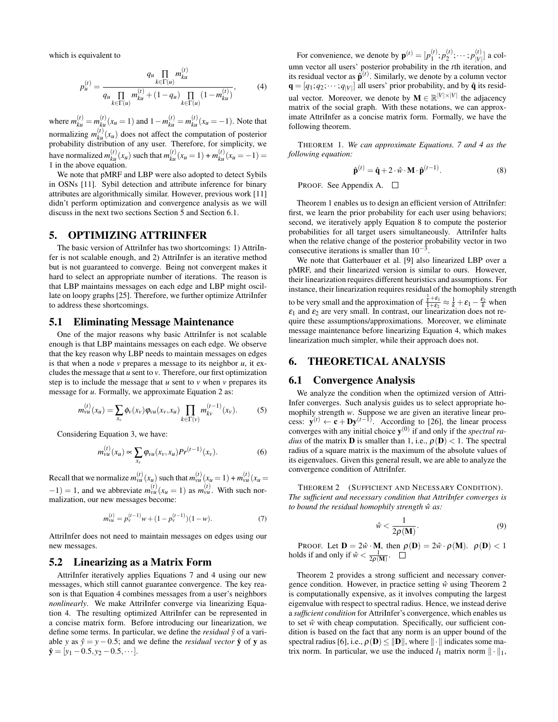which is equivalent to

$$
p_{u}^{(t)} = \frac{q_{u} \prod_{k \in \Gamma(u)} m_{ku}^{(t)}}{q_{u} \prod_{k \in \Gamma(u)} m_{ku}^{(t)} + (1 - q_{u}) \prod_{k \in \Gamma(u)} (1 - m_{ku}^{(t)})},
$$
(4)

where  $m_{ku}^{(t)} = m_{ku}^{(t)}(x_u = 1)$  and  $1 - m_{ku}^{(t)} = m_{ku}^{(t)}(x_u = -1)$ . Note that normalizing  $m_{ku}^{(t)}(x_u)$  does not affect the computation of posterior probability distribution of any user. Therefore, for simplicity, we have normalized  $m_{ku}^{(t)}(x_u)$  such that  $m_{ku}^{(t)}(x_u = 1) + m_{ku}^{(t)}(x_u = -1) = 1$  in the above equation.

We note that pMRF and LBP were also adopted to detect Sybils in OSNs [11]. Sybil detection and attribute inference for binary attributes are algorithmically similar. However, previous work [11] didn't perform optimization and convergence analysis as we will discuss in the next two sections Section 5 and Section 6.1.

## 5. OPTIMIZING ATTRIINFER

The basic version of AttriInfer has two shortcomings: 1) AttriInfer is not scalable enough, and 2) AttriInfer is an iterative method but is not guaranteed to converge. Being not convergent makes it hard to select an appropriate number of iterations. The reason is that LBP maintains messages on each edge and LBP might oscillate on loopy graphs [25]. Therefore, we further optimize AttriInfer to address these shortcomings.

#### 5.1 Eliminating Message Maintenance

One of the major reasons why basic AttriInfer is not scalable enough is that LBP maintains messages on each edge. We observe that the key reason why LBP needs to maintain messages on edges is that when a node *v* prepares a message to its neighbor *u*, it excludes the message that *u* sent to *v*. Therefore, our first optimization step is to include the message that  $u$  sent to  $v$  when  $v$  prepares its message for *u*. Formally, we approximate Equation 2 as:

$$
m_{vu}^{(t)}(x_u) = \sum_{x_v} \phi_v(x_v) \varphi_{vu}(x_v, x_u) \prod_{k \in \Gamma(v)} m_{kv}^{(t-1)}(x_v).
$$
 (5)

Considering Equation 3, we have:

$$
m_{vu}^{(t)}(x_u) \propto \sum_{x_v} \varphi_{vu}(x_v, x_u) Pr^{(t-1)}(x_v).
$$
 (6)

Recall that we normalize  $m_{vu}^{(t)}(x_u)$  such that  $m_{vu}^{(t)}(x_u = 1) + m_{vu}^{(t)}(x_u = 1)$  $(v-1) = 1$ , and we abbreviate  $m_{vu}^{(t)}(x_u = 1)$  as  $m_{vu}^{(t)}$ . With such normalization, our new messages become:

$$
m_{vu}^{(t)} = p_v^{(t-1)}w + (1 - p_v^{(t-1)})(1 - w).
$$
 (7)

AttriInfer does not need to maintain messages on edges using our new messages.

#### 5.2 Linearizing as a Matrix Form

AttriInfer iteratively applies Equations 7 and 4 using our new messages, which still cannot guarantee convergence. The key reason is that Equation 4 combines messages from a user's neighbors *nonlinearly*. We make AttriInfer converge via linearizing Equation 4. The resulting optimized AttriInfer can be represented in a concise matrix form. Before introducing our linearization, we define some terms. In particular, we define the *residual*  $\hat{y}$  of a variable *y* as  $\hat{y} = y - 0.5$ ; and we define the *residual vector*  $\hat{y}$  of **y** as  $\hat{\mathbf{y}} = [y_1 - 0.5, y_2 - 0.5, \cdots].$ 

For convenience, we denote by  ${\bf p}^{(t)} = [p_1^{(t)}; p_2^{(t)}; \cdots; p_{|V|}^{(t)}]$  $\begin{bmatrix} V' \\ V \end{bmatrix}$  a column vector all users' posterior probability in the *t*th iteration, and its residual vector as  $\hat{\mathbf{p}}^{(t)}$ . Similarly, we denote by a column vector  $\mathbf{q} = [q_1; q_2; \dots; q_{|V|}]$  all users' prior probability, and by  $\hat{\mathbf{q}}$  its residual vector. Moreover, we denote by  $M \in \mathbb{R}^{|V| \times |V|}$  the adjacency matrix of the social graph. With these notations, we can approximate AttriInfer as a concise matrix form. Formally, we have the following theorem.

THEOREM 1. *We can approximate Equations. 7 and 4 as the following equation:*

$$
\hat{\mathbf{p}}^{(t)} = \hat{\mathbf{q}} + 2 \cdot \hat{w} \cdot \mathbf{M} \cdot \hat{\mathbf{p}}^{(t-1)}.
$$
 (8)

PROOF. See Appendix A. □

Theorem 1 enables us to design an efficient version of AttriInfer: first, we learn the prior probability for each user using behaviors; second, we iteratively apply Equation 8 to compute the posterior probabilities for all target users simultaneously. AttriInfer halts when the relative change of the posterior probability vector in two consecutive iterations is smaller than  $10^{-3}$ .

We note that Gatterbauer et al. [9] also linearized LBP over a pMRF, and their linearized version is similar to ours. However, their linearization requires different heuristics and assumptions. For instance, their linearization requires residual of the homophily strength to be very small and the approximation of  $\frac{k}{k} + \varepsilon_1 \approx \frac{1}{k} + \varepsilon_1 - \frac{\varepsilon_2}{k}$  when  $\varepsilon_1$  and  $\varepsilon_2$  are very small. In contrast, our linearization does not require these assumptions/approximations. Moreover, we eliminate message maintenance before linearizing Equation 4, which makes linearization much simpler, while their approach does not.

## 6. THEORETICAL ANALYSIS

## 6.1 Convergence Analysis

We analyze the condition when the optimized version of Attri-Infer converges. Such analysis guides us to select appropriate homophily strength *w*. Suppose we are given an iterative linear process:  $\mathbf{y}^{(t)} \leftarrow \mathbf{c} + \mathbf{D}\mathbf{y}^{(t-1)}$ . According to [26], the linear process converges with any initial choice  $y^{(0)}$  if and only if the *spectral radius* of the matrix **D** is smaller than 1, i.e.,  $\rho(\mathbf{D}) < 1$ . The spectral radius of a square matrix is the maximum of the absolute values of its eigenvalues. Given this general result, we are able to analyze the convergence condition of AttriInfer.

THEOREM 2 (SUFFICIENT AND NECESSARY CONDITION). *The sufficient and necessary condition that AttriInfer converges is to bound the residual homophily strength*  $\hat{w}$  *as:* 

$$
\hat{w} < \frac{1}{2\rho(\mathbf{M})}.\tag{9}
$$

PROOF. Let  $\mathbf{D} = 2\hat{w} \cdot \mathbf{M}$ , then  $\rho(\mathbf{D}) = 2\hat{w} \cdot \rho(\mathbf{M})$ .  $\rho(\mathbf{D}) < 1$ holds if and only if  $\hat{w} < \frac{1}{2\rho(\mathbf{M})}$ .

Theorem 2 provides a strong sufficient and necessary convergence condition. However, in practice setting  $\hat{w}$  using Theorem 2 is computationally expensive, as it involves computing the largest eigenvalue with respect to spectral radius. Hence, we instead derive a *sufficient condition* for AttriInfer's convergence, which enables us to set  $\hat{w}$  with cheap computation. Specifically, our sufficient condition is based on the fact that any norm is an upper bound of the spectral radius [6], i.e.,  $\rho(\mathbf{D}) \le ||\mathbf{D}||$ , where  $||\cdot||$  indicates some matrix norm. In particular, we use the induced  $l_1$  matrix norm  $\|\cdot\|_1$ ,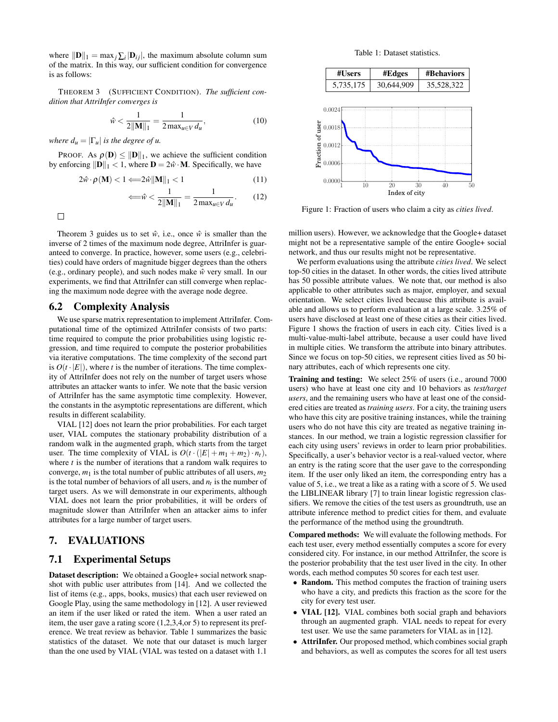where  $||\mathbf{D}||_1 = \max_j \sum_i |\mathbf{D}_{ij}|$ , the maximum absolute column sum of the matrix. In this way, our sufficient condition for convergence is as follows:

THEOREM 3 (SUFFICIENT CONDITION). *The sufficient condition that AttriInfer converges is*

$$
\hat{w} < \frac{1}{2\|\mathbf{M}\|_1} = \frac{1}{2\max_{u \in V} d_u},\tag{10}
$$

*where*  $d_u = |\Gamma_u|$  *is the degree of u.* 

PROOF. As  $\rho(\mathbf{D}) \le ||\mathbf{D}||_1$ , we achieve the sufficient condition by enforcing  $\|\mathbf{D}\|_1 < 1$ , where  $\mathbf{D} = 2\hat{w} \cdot \mathbf{M}$ . Specifically, we have

$$
2\hat{w} \cdot \rho(\mathbf{M}) < 1 \Longleftarrow 2\hat{w} \|\mathbf{M}\|_1 < 1 \tag{11}
$$

$$
\Longleftarrow \hat{w} < \frac{1}{2\|\mathbf{M}\|_1} = \frac{1}{2\max_{u \in V} d_u}.\tag{12}
$$

 $\Box$ 

Theorem 3 guides us to set  $\hat{w}$ , i.e., once  $\hat{w}$  is smaller than the inverse of 2 times of the maximum node degree, AttriInfer is guaranteed to converge. In practice, however, some users (e.g., celebrities) could have orders of magnitude bigger degrees than the others (e.g., ordinary people), and such nodes make ˆ*w* very small. In our experiments, we find that AttriInfer can still converge when replacing the maximum node degree with the average node degree.

#### 6.2 Complexity Analysis

We use sparse matrix representation to implement AttriInfer. Computational time of the optimized AttriInfer consists of two parts: time required to compute the prior probabilities using logistic regression, and time required to compute the posterior probabilities via iterative computations. The time complexity of the second part is  $O(t \cdot |E|)$ , where *t* is the number of iterations. The time complexity of AttriInfer does not rely on the number of target users whose attributes an attacker wants to infer. We note that the basic version of AttriInfer has the same asymptotic time complexity. However, the constants in the asymptotic representations are different, which results in different scalability.

VIAL [12] does not learn the prior probabilities. For each target user, VIAL computes the stationary probability distribution of a random walk in the augmented graph, which starts from the target user. The time complexity of VIAL is  $O(t \cdot (|E| + m_1 + m_2) \cdot n_t)$ , where *t* is the number of iterations that a random walk requires to converge,  $m_1$  is the total number of public attributes of all users,  $m_2$ is the total number of behaviors of all users, and  $n_t$  is the number of target users. As we will demonstrate in our experiments, although VIAL does not learn the prior probabilities, it will be orders of magnitude slower than AttriInfer when an attacker aims to infer attributes for a large number of target users.

# 7. EVALUATIONS

## 7.1 Experimental Setups

Dataset description: We obtained a Google+ social network snapshot with public user attributes from [14]. And we collected the list of items (e.g., apps, books, musics) that each user reviewed on Google Play, using the same methodology in [12]. A user reviewed an item if the user liked or rated the item. When a user rated an item, the user gave a rating score (1,2,3,4,or 5) to represent its preference. We treat review as behavior. Table 1 summarizes the basic statistics of the dataset. We note that our dataset is much larger than the one used by VIAL (VIAL was tested on a dataset with 1.1

Table 1: Dataset statistics.



Figure 1: Fraction of users who claim a city as *cities lived*.

million users). However, we acknowledge that the Google+ dataset might not be a representative sample of the entire Google+ social network, and thus our results might not be representative.

We perform evaluations using the attribute *cities lived*. We select top-50 cities in the dataset. In other words, the cities lived attribute has 50 possible attribute values. We note that, our method is also applicable to other attributes such as major, employer, and sexual orientation. We select cities lived because this attribute is available and allows us to perform evaluation at a large scale. 3.25% of users have disclosed at least one of these cities as their cities lived. Figure 1 shows the fraction of users in each city. Cities lived is a multi-value-multi-label attribute, because a user could have lived in multiple cities. We transform the attribute into binary attributes. Since we focus on top-50 cities, we represent cities lived as 50 binary attributes, each of which represents one city.

Training and testing: We select 25% of users (i.e., around 7000 users) who have at least one city and 10 behaviors as *test/target users*, and the remaining users who have at least one of the considered cities are treated as *training users*. For a city, the training users who have this city are positive training instances, while the training users who do not have this city are treated as negative training instances. In our method, we train a logistic regression classifier for each city using users' reviews in order to learn prior probabilities. Specifically, a user's behavior vector is a real-valued vector, where an entry is the rating score that the user gave to the corresponding item. If the user only liked an item, the corresponding entry has a value of 5, i.e., we treat a like as a rating with a score of 5. We used the LIBLINEAR library [7] to train linear logistic regression classifiers. We remove the cities of the test users as groundtruth, use an attribute inference method to predict cities for them, and evaluate the performance of the method using the groundtruth.

Compared methods: We will evaluate the following methods. For each test user, every method essentially computes a score for every considered city. For instance, in our method AttriInfer, the score is the posterior probability that the test user lived in the city. In other words, each method computes 50 scores for each test user.

- Random. This method computes the fraction of training users who have a city, and predicts this fraction as the score for the city for every test user.
- VIAL [12]. VIAL combines both social graph and behaviors through an augmented graph. VIAL needs to repeat for every test user. We use the same parameters for VIAL as in [12].
- AttriInfer. Our proposed method, which combines social graph and behaviors, as well as computes the scores for all test users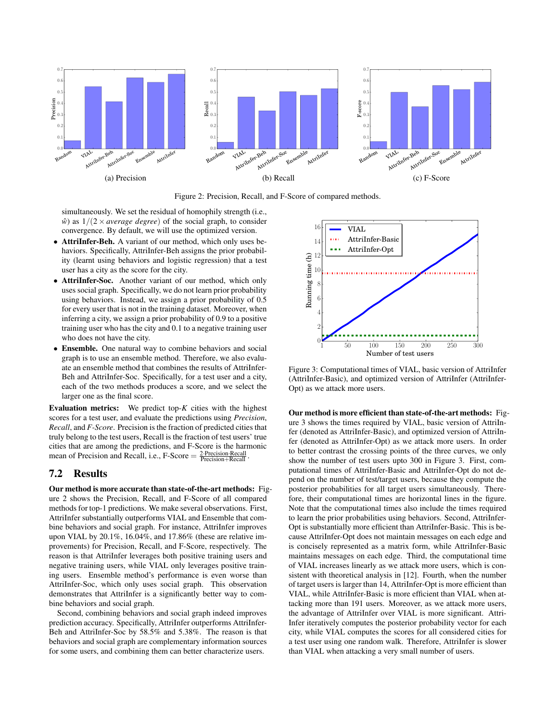

Figure 2: Precision, Recall, and F-Score of compared methods.

simultaneously. We set the residual of homophily strength (i.e.,  $\hat{w}$  as  $1/(2 \times average \ degree)$  of the social graph, to consider convergence. By default, we will use the optimized version.

- AttriInfer-Beh. A variant of our method, which only uses behaviors. Specifically, AttriInfer-Beh assigns the prior probability (learnt using behaviors and logistic regression) that a test user has a city as the score for the city.
- AttriInfer-Soc. Another variant of our method, which only uses social graph. Specifically, we do not learn prior probability using behaviors. Instead, we assign a prior probability of 0.5 for every user that is not in the training dataset. Moreover, when inferring a city, we assign a prior probability of 0.9 to a positive training user who has the city and 0.1 to a negative training user who does not have the city.
- Ensemble. One natural way to combine behaviors and social graph is to use an ensemble method. Therefore, we also evaluate an ensemble method that combines the results of AttriInfer-Beh and AttriInfer-Soc. Specifically, for a test user and a city, each of the two methods produces a score, and we select the larger one as the final score.

Evaluation metrics: We predict top-*K* cities with the highest scores for a test user, and evaluate the predictions using *Precision*, *Recall*, and *F-Score*. Precision is the fraction of predicted cities that truly belong to the test users, Recall is the fraction of test users' true cities that are among the predictions, and F-Score is the harmonic mean of Precision and Recall, i.e.,  $F\text{-}Score = \frac{2\text{-}Precision\text{-}Recall}{Precision + Recall}$ .

## 7.2 Results

Our method is more accurate than state-of-the-art methods: Figure 2 shows the Precision, Recall, and F-Score of all compared methods for top-1 predictions. We make several observations. First, AttriInfer substantially outperforms VIAL and Ensemble that combine behaviors and social graph. For instance, AttriInfer improves upon VIAL by 20.1%, 16.04%, and 17.86% (these are relative improvements) for Precision, Recall, and F-Score, respectively. The reason is that AttriInfer leverages both positive training users and negative training users, while VIAL only leverages positive training users. Ensemble method's performance is even worse than AttriInfer-Soc, which only uses social graph. This observation demonstrates that AttriInfer is a significantly better way to combine behaviors and social graph.

Second, combining behaviors and social graph indeed improves prediction accuracy. Specifically, AttriInfer outperforms AttriInfer-Beh and AttriInfer-Soc by 58.5% and 5.38%. The reason is that behaviors and social graph are complementary information sources for some users, and combining them can better characterize users.



Figure 3: Computational times of VIAL, basic version of AttriInfer (AttriInfer-Basic), and optimized version of AttriInfer (AttriInfer-Opt) as we attack more users.

Our method is more efficient than state-of-the-art methods: Figure 3 shows the times required by VIAL, basic version of AttriInfer (denoted as AttriInfer-Basic), and optimized version of AttriInfer (denoted as AttriInfer-Opt) as we attack more users. In order to better contrast the crossing points of the three curves, we only show the number of test users upto 300 in Figure 3. First, computational times of AttriInfer-Basic and AttriInfer-Opt do not depend on the number of test/target users, because they compute the posterior probabilities for all target users simultaneously. Therefore, their computational times are horizontal lines in the figure. Note that the computational times also include the times required to learn the prior probabilities using behaviors. Second, AttriInfer-Opt is substantially more efficient than AttriInfer-Basic. This is because AttriInfer-Opt does not maintain messages on each edge and is concisely represented as a matrix form, while AttriInfer-Basic maintains messages on each edge. Third, the computational time of VIAL increases linearly as we attack more users, which is consistent with theoretical analysis in [12]. Fourth, when the number of target users is larger than 14, AttriInfer-Opt is more efficient than VIAL, while AttriInfer-Basic is more efficient than VIAL when attacking more than 191 users. Moreover, as we attack more users, the advantage of AttriInfer over VIAL is more significant. Attri-Infer iteratively computes the posterior probability vector for each city, while VIAL computes the scores for all considered cities for a test user using one random walk. Therefore, AttriInfer is slower than VIAL when attacking a very small number of users.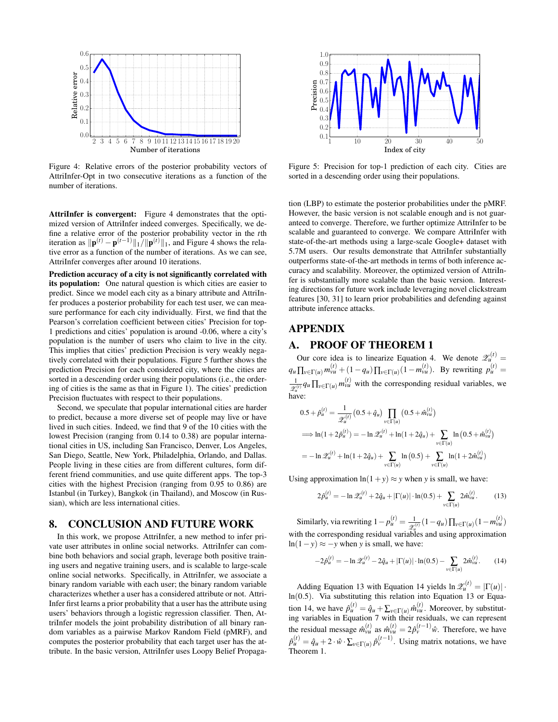

Figure 4: Relative errors of the posterior probability vectors of AttriInfer-Opt in two consecutive iterations as a function of the number of iterations.

AttriInfer is convergent: Figure 4 demonstrates that the optimized version of AttriInfer indeed converges. Specifically, we define a relative error of the posterior probability vector in the *t*th iteration as  $\|\mathbf{p}^{(t)} - \mathbf{p}^{(t-1)}\|_1 / \|\mathbf{p}^{(t)}\|_1$ , and Figure 4 shows the relative error as a function of the number of iterations. As we can see, AttriInfer converges after around 10 iterations.

Prediction accuracy of a city is not significantly correlated with its population: One natural question is which cities are easier to predict. Since we model each city as a binary attribute and AttriInfer produces a posterior probability for each test user, we can measure performance for each city individually. First, we find that the Pearson's correlation coefficient between cities' Precision for top-1 predictions and cities' population is around -0.06, where a city's population is the number of users who claim to live in the city. This implies that cities' prediction Precision is very weakly negatively correlated with their populations. Figure 5 further shows the prediction Precision for each considered city, where the cities are sorted in a descending order using their populations (i.e., the ordering of cities is the same as that in Figure 1). The cities' prediction Precision fluctuates with respect to their populations.

Second, we speculate that popular international cities are harder to predict, because a more diverse set of people may live or have lived in such cities. Indeed, we find that 9 of the 10 cities with the lowest Precision (ranging from 0.14 to 0.38) are popular international cities in US, including San Francisco, Denver, Los Angeles, San Diego, Seattle, New York, Philadelphia, Orlando, and Dallas. People living in these cities are from different cultures, form different friend communities, and use quite different apps. The top-3 cities with the highest Precision (ranging from 0.95 to 0.86) are Istanbul (in Turkey), Bangkok (in Thailand), and Moscow (in Russian), which are less international cities.

## 8. CONCLUSION AND FUTURE WORK

In this work, we propose AttriInfer, a new method to infer private user attributes in online social networks. AttriInfer can combine both behaviors and social graph, leverage both positive training users and negative training users, and is scalable to large-scale online social networks. Specifically, in AttriInfer, we associate a binary random variable with each user; the binary random variable characterizes whether a user has a considered attribute or not. Attri-Infer first learns a prior probability that a user has the attribute using users' behaviors through a logistic regression classifier. Then, AttriInfer models the joint probability distribution of all binary random variables as a pairwise Markov Random Field (pMRF), and computes the posterior probability that each target user has the attribute. In the basic version, AttriInfer uses Loopy Belief Propaga-



Figure 5: Precision for top-1 prediction of each city. Cities are sorted in a descending order using their populations.

tion (LBP) to estimate the posterior probabilities under the pMRF. However, the basic version is not scalable enough and is not guaranteed to converge. Therefore, we further optimize AttriInfer to be scalable and guaranteed to converge. We compare AttriInfer with state-of-the-art methods using a large-scale Google+ dataset with 5.7M users. Our results demonstrate that AttriInfer substantially outperforms state-of-the-art methods in terms of both inference accuracy and scalability. Moreover, the optimized version of AttriInfer is substantially more scalable than the basic version. Interesting directions for future work include leveraging novel clickstream features [30, 31] to learn prior probabilities and defending against attribute inference attacks.

# APPENDIX

# A. PROOF OF THEOREM 1

Our core idea is to linearize Equation 4. We denote  $\mathscr{Z}_u^{(t)} =$  $q_u \prod_{v \in \Gamma(u)} m_{vu}^{(t)} + (1 - q_u) \prod_{v \in \Gamma(u)} (1 - m_{vu}^{(t)})$ . By rewriting  $p_u^{(t)} =$ 1  $\frac{1}{\mathcal{Z}_u^{(t)}} q_u \prod_{v \in \Gamma(u)} m_{vu}^{(t)}$  with the corresponding residual variables, we have:

$$
0.5 + \hat{p}_{u}^{(t)} = \frac{1}{\mathscr{Z}_{u}^{(t)}} (0.5 + \hat{q}_{u}) \prod_{v \in \Gamma(u)} (0.5 + \hat{m}_{vu}^{(t)})
$$
  
\n
$$
\implies \ln(1 + 2\hat{p}_{u}^{(t)}) = -\ln \mathscr{Z}_{u}^{(t)} + \ln(1 + 2\hat{q}_{u}) + \sum_{v \in \Gamma(u)} \ln(0.5 + \hat{m}_{vu}^{(t)})
$$
  
\n
$$
= -\ln \mathscr{Z}_{u}^{(t)} + \ln(1 + 2\hat{q}_{u}) + \sum_{v \in \Gamma(u)} \ln(0.5) + \sum_{v \in \Gamma(u)} \ln(1 + 2\hat{m}_{vu}^{(t)})
$$

Using approximation  $ln(1 + y) \approx y$  when *y* is small, we have:

$$
2\hat{p}_{u}^{(t)} = -\ln \mathscr{Z}_{u}^{(t)} + 2\hat{q}_{u} + |\Gamma(u)| \cdot \ln(0.5) + \sum_{v \in \Gamma(u)} 2\hat{m}_{vu}^{(t)}.
$$
 (13)

Similarly, via rewriting  $1 - p_u^{(t)} = \frac{1}{x^2}$  $\frac{1}{\mathscr{Z}_u^{(t)}}(1-q_u)\prod_{v\in\Gamma(u)}(1-m_{vu}^{(t)})$ with the corresponding residual variables and using approximation ln(1−*y*)  $\approx$  −*y* when *y* is small, we have:

$$
-2\hat{p}_u^{(t)} = -\ln \mathscr{Z}_u^{(t)} - 2\hat{q}_u + |\Gamma(u)| \cdot \ln(0.5) - \sum_{v \in \Gamma(u)} 2\hat{m}_{vu}^{(t)}.
$$
 (14)

Adding Equation 13 with Equation 14 yields  $\ln \mathcal{Z}_u^{(t)} = |\Gamma(u)| \cdot$ ln(0.5). Via substituting this relation into Equation 13 or Equation 14, we have  $\hat{p}_{u}^{(t)} = \hat{q}_{u} + \sum_{v \in \Gamma(u)} \hat{m}_{vu}^{(t)}$ . Moreover, by substituting variables in Equation 7 with their residuals, we can represent the residual message  $\hat{m}_{vu}^{(t)}$  as  $\hat{m}_{vu}^{(t)} = 2\hat{p}_v^{(t-1)}\hat{w}$ . Therefore, we have  $\hat{p}_{u}^{(t)} = \hat{q}_{u} + 2 \cdot \hat{w} \cdot \sum_{v \in \Gamma(u)} \hat{p}_{v}^{(t-1)}$ . Using matrix notations, we have Theorem 1.